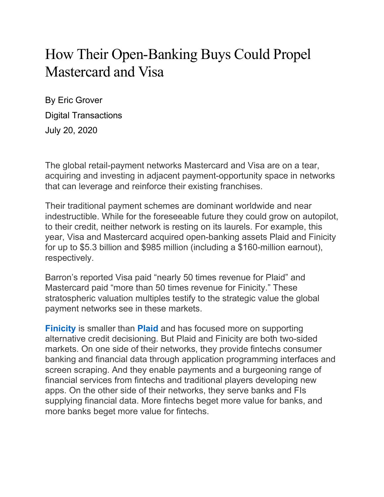## How Their Open-Banking Buys Could Propel Mastercard and Visa

By Eric Grover Digital Transactions July 20, 2020

The global retail-payment networks Mastercard and Visa are on a tear, acquiring and investing in adjacent payment-opportunity space in networks that can leverage and reinforce their existing franchises.

Their traditional payment schemes are dominant worldwide and near indestructible. While for the foreseeable future they could grow on autopilot, to their credit, neither network is resting on its laurels. For example, this year, Visa and Mastercard acquired open-banking assets Plaid and Finicity for up to \$5.3 billion and \$985 million (including a \$160-million earnout), respectively.

Barron's reported Visa paid "nearly 50 times revenue for Plaid" and Mastercard paid "more than 50 times revenue for Finicity." These stratospheric valuation multiples testify to the strategic value the global payment networks see in these markets.

**Finicity** is smaller than **Plaid** and has focused more on supporting alternative credit decisioning. But Plaid and Finicity are both two-sided markets. On one side of their networks, they provide fintechs consumer banking and financial data through application programming interfaces and screen scraping. And they enable payments and a burgeoning range of financial services from fintechs and traditional players developing new apps. On the other side of their networks, they serve banks and FIs supplying financial data. More fintechs beget more value for banks, and more banks beget more value for fintechs.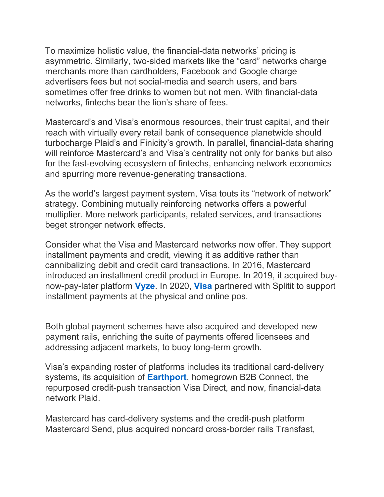To maximize holistic value, the financial-data networks' pricing is asymmetric. Similarly, two-sided markets like the "card" networks charge merchants more than cardholders, Facebook and Google charge advertisers fees but not social-media and search users, and bars sometimes offer free drinks to women but not men. With financial-data networks, fintechs bear the lion's share of fees.

Mastercard's and Visa's enormous resources, their trust capital, and their reach with virtually every retail bank of consequence planetwide should turbocharge Plaid's and Finicity's growth. In parallel, financial-data sharing will reinforce Mastercard's and Visa's centrality not only for banks but also for the fast-evolving ecosystem of fintechs, enhancing network economics and spurring more revenue-generating transactions.

As the world's largest payment system, Visa touts its "network of network" strategy. Combining mutually reinforcing networks offers a powerful multiplier. More network participants, related services, and transactions beget stronger network effects.

Consider what the Visa and Mastercard networks now offer. They support installment payments and credit, viewing it as additive rather than cannibalizing debit and credit card transactions. In 2016, Mastercard introduced an installment credit product in Europe. In 2019, it acquired buynow-pay-later platform **Vyze**. In 2020, **Visa** partnered with Splitit to support installment payments at the physical and online pos.

Both global payment schemes have also acquired and developed new payment rails, enriching the suite of payments offered licensees and addressing adjacent markets, to buoy long-term growth.

Visa's expanding roster of platforms includes its traditional card-delivery systems, its acquisition of **Earthport**, homegrown B2B Connect, the repurposed credit-push transaction Visa Direct, and now, financial-data network Plaid.

Mastercard has card-delivery systems and the credit-push platform Mastercard Send, plus acquired noncard cross-border rails Transfast,